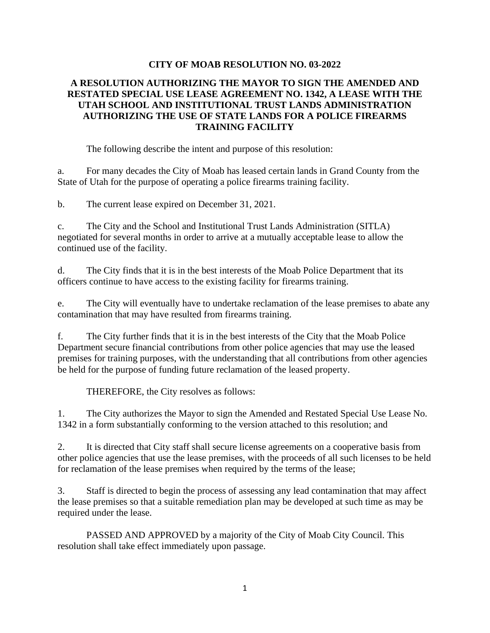## **CITY OF MOAB RESOLUTION NO. 03-2022**

## **A RESOLUTION AUTHORIZING THE MAYOR TO SIGN THE AMENDED AND RESTATED SPECIAL USE LEASE AGREEMENT NO. 1342, A LEASE WITH THE UTAH SCHOOL AND INSTITUTIONAL TRUST LANDS ADMINISTRATION AUTHORIZING THE USE OF STATE LANDS FOR A POLICE FIREARMS TRAINING FACILITY**

The following describe the intent and purpose of this resolution:

a. For many decades the City of Moab has leased certain lands in Grand County from the State of Utah for the purpose of operating a police firearms training facility.

b. The current lease expired on December 31, 2021.

c. The City and the School and Institutional Trust Lands Administration (SITLA) negotiated for several months in order to arrive at a mutually acceptable lease to allow the continued use of the facility.

d. The City finds that it is in the best interests of the Moab Police Department that its officers continue to have access to the existing facility for firearms training.

e. The City will eventually have to undertake reclamation of the lease premises to abate any contamination that may have resulted from firearms training.

f. The City further finds that it is in the best interests of the City that the Moab Police Department secure financial contributions from other police agencies that may use the leased premises for training purposes, with the understanding that all contributions from other agencies be held for the purpose of funding future reclamation of the leased property.

THEREFORE, the City resolves as follows:

1. The City authorizes the Mayor to sign the Amended and Restated Special Use Lease No. 1342 in a form substantially conforming to the version attached to this resolution; and

2. It is directed that City staff shall secure license agreements on a cooperative basis from other police agencies that use the lease premises, with the proceeds of all such licenses to be held for reclamation of the lease premises when required by the terms of the lease;

3. Staff is directed to begin the process of assessing any lead contamination that may affect the lease premises so that a suitable remediation plan may be developed at such time as may be required under the lease.

PASSED AND APPROVED by a majority of the City of Moab City Council. This resolution shall take effect immediately upon passage.